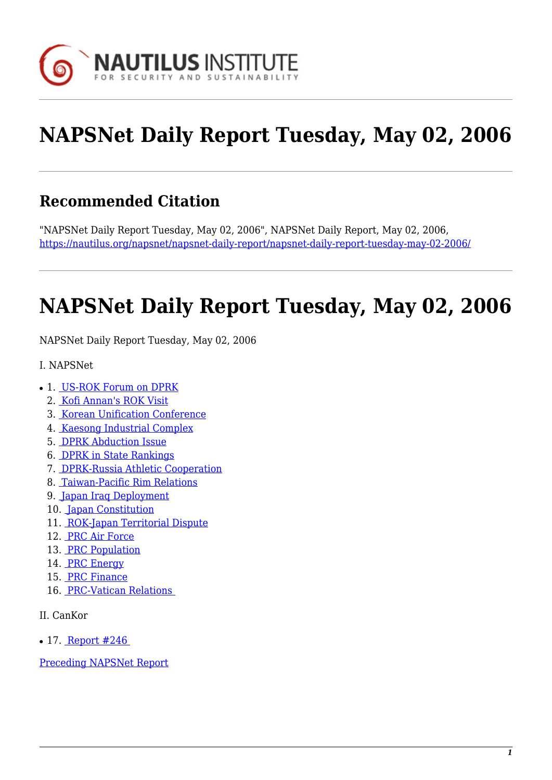

# **NAPSNet Daily Report Tuesday, May 02, 2006**

#### **Recommended Citation**

"NAPSNet Daily Report Tuesday, May 02, 2006", NAPSNet Daily Report, May 02, 2006, <https://nautilus.org/napsnet/napsnet-daily-report/napsnet-daily-report-tuesday-may-02-2006/>

# **NAPSNet Daily Report Tuesday, May 02, 2006**

<span id="page-0-0"></span>NAPSNet Daily Report Tuesday, May 02, 2006

- I. NAPSNet
- 1. [US-ROK Forum on DPRK](#page-1-0)
	- 2. [Kofi Annan's ROK Visit](#page-1-1)
	- 3. [Korean Unification Conference](#page-1-2)
	- 4. [Kaesong Industrial Complex](#page-1-3)
	- 5. [DPRK Abduction Issue](#page-2-0)
	- 6. [DPRK in State Rankings](#page-2-1)
	- 7. [DPRK-Russia Athletic Cooperation](#page-2-2)
	- 8. [Taiwan-Pacific Rim Relations](#page-2-3)
	- 9. [Japan Iraq Deployment](#page-3-0)
	- 10. [Japan Constitution](#page-3-1)
	- 11. [ROK-Japan Territorial Dispute](#page-3-2)
	- 12. [PRC Air Force](#page-3-3)
	- 13. [PRC Population](#page-3-4)
	- 14. [PRC Energy](#page-4-0)
	- 15. [PRC Finance](#page-4-1)
	- 16. [PRC-Vatican Relations](#page-4-2)
- II. CanKor
- $\cdot$  17. Report #246

[Preceding NAPSNet Report](https://nautilus.org/mailing-lists/napsnet/dr/2006-2/napsnet-daily-report-monday-may-01-2006/)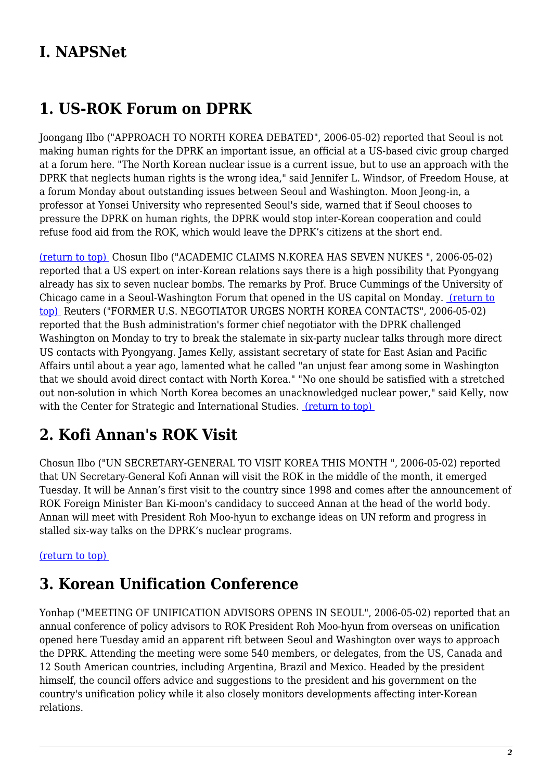#### **I. NAPSNet**

#### <span id="page-1-0"></span>**1. US-ROK Forum on DPRK**

Joongang Ilbo ("APPROACH TO NORTH KOREA DEBATED", 2006-05-02) reported that Seoul is not making human rights for the DPRK an important issue, an official at a US-based civic group charged at a forum here. "The North Korean nuclear issue is a current issue, but to use an approach with the DPRK that neglects human rights is the wrong idea," said Jennifer L. Windsor, of Freedom House, at a forum Monday about outstanding issues between Seoul and Washington. Moon Jeong-in, a professor at Yonsei University who represented Seoul's side, warned that if Seoul chooses to pressure the DPRK on human rights, the DPRK would stop inter-Korean cooperation and could refuse food aid from the ROK, which would leave the DPRK's citizens at the short end.

[\(return to top\)](#page-0-0) Chosun Ilbo ("ACADEMIC CLAIMS N.KOREA HAS SEVEN NUKES ", 2006-05-02) reported that a US expert on inter-Korean relations says there is a high possibility that Pyongyang already has six to seven nuclear bombs. The remarks by Prof. Bruce Cummings of the University of Chicago came in a Seoul-Washington Forum that opened in the US capital on Monday. [\(return to](#page-0-0) [top\)](#page-0-0) Reuters ("FORMER U.S. NEGOTIATOR URGES NORTH KOREA CONTACTS", 2006-05-02) reported that the Bush administration's former chief negotiator with the DPRK challenged Washington on Monday to try to break the stalemate in six-party nuclear talks through more direct US contacts with Pyongyang. James Kelly, assistant secretary of state for East Asian and Pacific Affairs until about a year ago, lamented what he called "an unjust fear among some in Washington that we should avoid direct contact with North Korea." "No one should be satisfied with a stretched out non-solution in which North Korea becomes an unacknowledged nuclear power," said Kelly, now with the Center for Strategic and International Studies. (return to top)

# <span id="page-1-1"></span>**2. Kofi Annan's ROK Visit**

Chosun Ilbo ("UN SECRETARY-GENERAL TO VISIT KOREA THIS MONTH ", 2006-05-02) reported that UN Secretary-General Kofi Annan will visit the ROK in the middle of the month, it emerged Tuesday. It will be Annan's first visit to the country since 1998 and comes after the announcement of ROK Foreign Minister Ban Ki-moon's candidacy to succeed Annan at the head of the world body. Annan will meet with President Roh Moo-hyun to exchange ideas on UN reform and progress in stalled six-way talks on the DPRK's nuclear programs.

#### <span id="page-1-2"></span>[\(return to top\)](#page-0-0)

#### **3. Korean Unification Conference**

<span id="page-1-3"></span>Yonhap ("MEETING OF UNIFICATION ADVISORS OPENS IN SEOUL", 2006-05-02) reported that an annual conference of policy advisors to ROK President Roh Moo-hyun from overseas on unification opened here Tuesday amid an apparent rift between Seoul and Washington over ways to approach the DPRK. Attending the meeting were some 540 members, or delegates, from the US, Canada and 12 South American countries, including Argentina, Brazil and Mexico. Headed by the president himself, the council offers advice and suggestions to the president and his government on the country's unification policy while it also closely monitors developments affecting inter-Korean relations.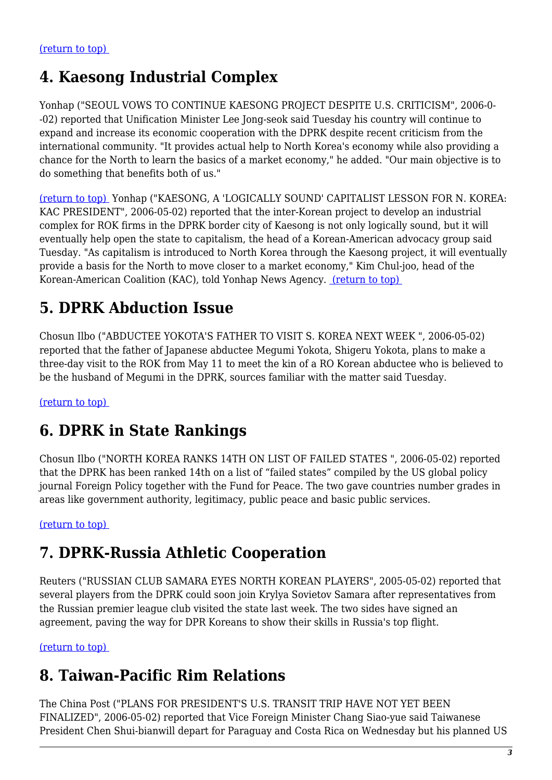#### **4. Kaesong Industrial Complex**

Yonhap ("SEOUL VOWS TO CONTINUE KAESONG PROJECT DESPITE U.S. CRITICISM", 2006-0- -02) reported that Unification Minister Lee Jong-seok said Tuesday his country will continue to expand and increase its economic cooperation with the DPRK despite recent criticism from the international community. "It provides actual help to North Korea's economy while also providing a chance for the North to learn the basics of a market economy," he added. "Our main objective is to do something that benefits both of us."

[\(return to top\)](#page-0-0) Yonhap ("KAESONG, A 'LOGICALLY SOUND' CAPITALIST LESSON FOR N. KOREA: KAC PRESIDENT", 2006-05-02) reported that the inter-Korean project to develop an industrial complex for ROK firms in the DPRK border city of Kaesong is not only logically sound, but it will eventually help open the state to capitalism, the head of a Korean-American advocacy group said Tuesday. "As capitalism is introduced to North Korea through the Kaesong project, it will eventually provide a basis for the North to move closer to a market economy," Kim Chul-joo, head of the Korean-American Coalition (KAC), told Yonhap News Agency. [\(return to top\)](#page-0-0) 

# <span id="page-2-0"></span>**5. DPRK Abduction Issue**

Chosun Ilbo ("ABDUCTEE YOKOTA'S FATHER TO VISIT S. KOREA NEXT WEEK ", 2006-05-02) reported that the father of Japanese abductee Megumi Yokota, Shigeru Yokota, plans to make a three-day visit to the ROK from May 11 to meet the kin of a RO Korean abductee who is believed to be the husband of Megumi in the DPRK, sources familiar with the matter said Tuesday.

<span id="page-2-1"></span>[\(return to top\)](#page-0-0) 

#### **6. DPRK in State Rankings**

Chosun Ilbo ("NORTH KOREA RANKS 14TH ON LIST OF FAILED STATES ", 2006-05-02) reported that the DPRK has been ranked 14th on a list of "failed states" compiled by the US global policy journal Foreign Policy together with the Fund for Peace. The two gave countries number grades in areas like government authority, legitimacy, public peace and basic public services.

<span id="page-2-2"></span>[\(return to top\)](#page-0-0) 

# **7. DPRK-Russia Athletic Cooperation**

Reuters ("RUSSIAN CLUB SAMARA EYES NORTH KOREAN PLAYERS", 2005-05-02) reported that several players from the DPRK could soon join Krylya Sovietov Samara after representatives from the Russian premier league club visited the state last week. The two sides have signed an agreement, paving the way for DPR Koreans to show their skills in Russia's top flight.

<span id="page-2-3"></span>[\(return to top\)](#page-0-0) 

# **8. Taiwan-Pacific Rim Relations**

The China Post ("PLANS FOR PRESIDENT'S U.S. TRANSIT TRIP HAVE NOT YET BEEN FINALIZED", 2006-05-02) reported that Vice Foreign Minister Chang Siao-yue said Taiwanese President Chen Shui-bianwill depart for Paraguay and Costa Rica on Wednesday but his planned US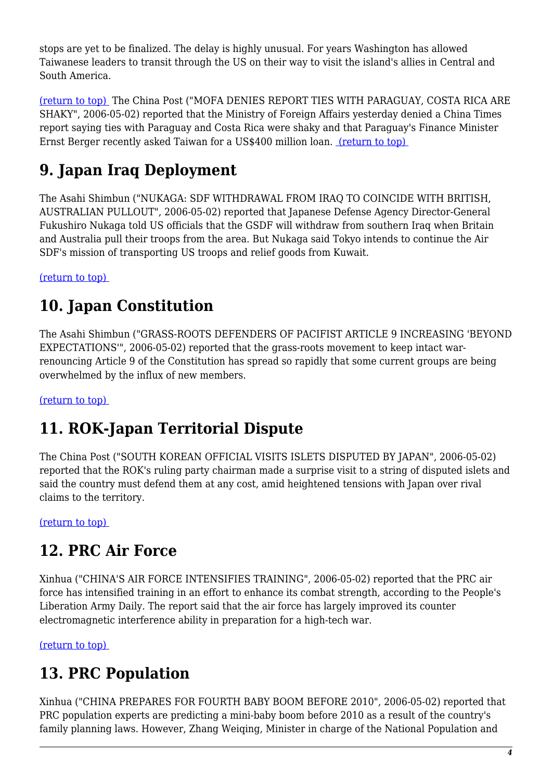stops are yet to be finalized. The delay is highly unusual. For years Washington has allowed Taiwanese leaders to transit through the US on their way to visit the island's allies in Central and South America.

[\(return to top\)](#page-0-0) The China Post ("MOFA DENIES REPORT TIES WITH PARAGUAY, COSTA RICA ARE SHAKY", 2006-05-02) reported that the Ministry of Foreign Affairs yesterday denied a China Times report saying ties with Paraguay and Costa Rica were shaky and that Paraguay's Finance Minister Ernst Berger recently asked Taiwan for a US\$400 million loan. [\(return to top\)](#page-0-0) 

# <span id="page-3-0"></span>**9. Japan Iraq Deployment**

The Asahi Shimbun ("NUKAGA: SDF WITHDRAWAL FROM IRAQ TO COINCIDE WITH BRITISH, AUSTRALIAN PULLOUT", 2006-05-02) reported that Japanese Defense Agency Director-General Fukushiro Nukaga told US officials that the GSDF will withdraw from southern Iraq when Britain and Australia pull their troops from the area. But Nukaga said Tokyo intends to continue the Air SDF's mission of transporting US troops and relief goods from Kuwait.

<span id="page-3-1"></span>[\(return to top\)](#page-0-0) 

# **10. Japan Constitution**

The Asahi Shimbun ("GRASS-ROOTS DEFENDERS OF PACIFIST ARTICLE 9 INCREASING 'BEYOND EXPECTATIONS'", 2006-05-02) reported that the grass-roots movement to keep intact warrenouncing Article 9 of the Constitution has spread so rapidly that some current groups are being overwhelmed by the influx of new members.

<span id="page-3-2"></span>[\(return to top\)](#page-0-0) 

# **11. ROK-Japan Territorial Dispute**

The China Post ("SOUTH KOREAN OFFICIAL VISITS ISLETS DISPUTED BY JAPAN", 2006-05-02) reported that the ROK's ruling party chairman made a surprise visit to a string of disputed islets and said the country must defend them at any cost, amid heightened tensions with Japan over rival claims to the territory.

<span id="page-3-3"></span>[\(return to top\)](#page-0-0) 

# **12. PRC Air Force**

Xinhua ("CHINA'S AIR FORCE INTENSIFIES TRAINING", 2006-05-02) reported that the PRC air force has intensified training in an effort to enhance its combat strength, according to the People's Liberation Army Daily. The report said that the air force has largely improved its counter electromagnetic interference ability in preparation for a high-tech war.

<span id="page-3-4"></span>[\(return to top\)](#page-0-0) 

#### **13. PRC Population**

Xinhua ("CHINA PREPARES FOR FOURTH BABY BOOM BEFORE 2010", 2006-05-02) reported that PRC population experts are predicting a mini-baby boom before 2010 as a result of the country's family planning laws. However, Zhang Weiqing, Minister in charge of the National Population and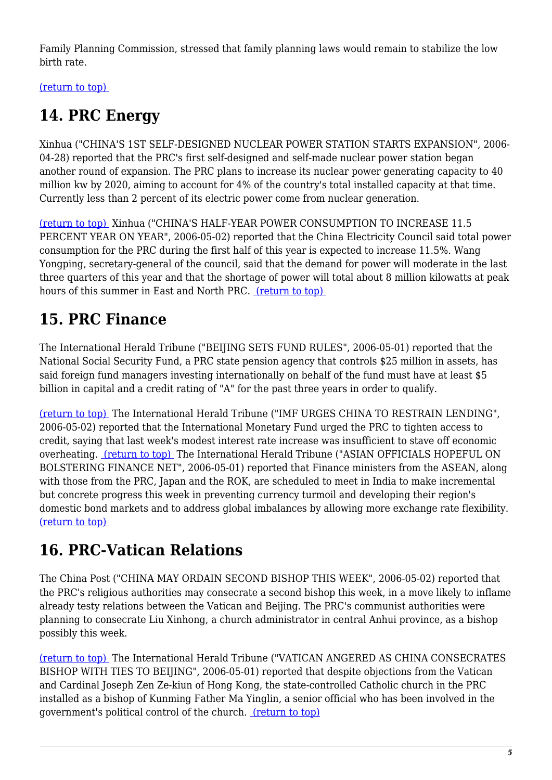Family Planning Commission, stressed that family planning laws would remain to stabilize the low birth rate.

<span id="page-4-0"></span>[\(return to top\)](#page-0-0) 

# **14. PRC Energy**

Xinhua ("CHINA'S 1ST SELF-DESIGNED NUCLEAR POWER STATION STARTS EXPANSION", 2006- 04-28) reported that the PRC's first self-designed and self-made nuclear power station began another round of expansion. The PRC plans to increase its nuclear power generating capacity to 40 million kw by 2020, aiming to account for 4% of the country's total installed capacity at that time. Currently less than 2 percent of its electric power come from nuclear generation.

[\(return to top\)](#page-0-0) Xinhua ("CHINA'S HALF-YEAR POWER CONSUMPTION TO INCREASE 11.5 PERCENT YEAR ON YEAR", 2006-05-02) reported that the China Electricity Council said total power consumption for the PRC during the first half of this year is expected to increase 11.5%. Wang Yongping, secretary-general of the council, said that the demand for power will moderate in the last three quarters of this year and that the shortage of power will total about 8 million kilowatts at peak hours of this summer in East and North PRC. [\(return to top\)](#page-0-0) 

# <span id="page-4-1"></span>**15. PRC Finance**

The International Herald Tribune ("BEIJING SETS FUND RULES", 2006-05-01) reported that the National Social Security Fund, a PRC state pension agency that controls \$25 million in assets, has said foreign fund managers investing internationally on behalf of the fund must have at least \$5 billion in capital and a credit rating of "A" for the past three years in order to qualify.

[\(return to top\)](#page-0-0) The International Herald Tribune ("IMF URGES CHINA TO RESTRAIN LENDING", 2006-05-02) reported that the International Monetary Fund urged the PRC to tighten access to credit, saying that last week's modest interest rate increase was insufficient to stave off economic overheating. [\(return to top\)](#page-0-0) The International Herald Tribune ("ASIAN OFFICIALS HOPEFUL ON BOLSTERING FINANCE NET", 2006-05-01) reported that Finance ministers from the ASEAN, along with those from the PRC, Japan and the ROK, are scheduled to meet in India to make incremental but concrete progress this week in preventing currency turmoil and developing their region's domestic bond markets and to address global imbalances by allowing more exchange rate flexibility. [\(return to top\)](#page-0-0) 

# <span id="page-4-2"></span>**16. PRC-Vatican Relations**

The China Post ("CHINA MAY ORDAIN SECOND BISHOP THIS WEEK", 2006-05-02) reported that the PRC's religious authorities may consecrate a second bishop this week, in a move likely to inflame already testy relations between the Vatican and Beijing. The PRC's communist authorities were planning to consecrate Liu Xinhong, a church administrator in central Anhui province, as a bishop possibly this week.

[\(return to top\)](#page-0-0) The International Herald Tribune ("VATICAN ANGERED AS CHINA CONSECRATES BISHOP WITH TIES TO BEIJING", 2006-05-01) reported that despite objections from the Vatican and Cardinal Joseph Zen Ze-kiun of Hong Kong, the state-controlled Catholic church in the PRC installed as a bishop of Kunming Father Ma Yinglin, a senior official who has been involved in the government's political control of the church. [\(return to top\)](#page-0-0)